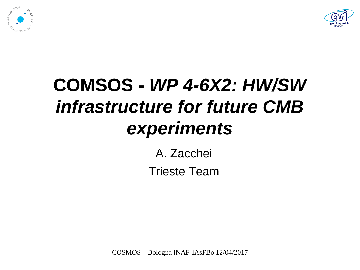



#### **COMSOS -** *WP 4-6X2: HW/SW infrastructure for future CMB experiments*

A. Zacchei Trieste Team

COSMOS – Bologna INAF-IAsFBo 12/04/2017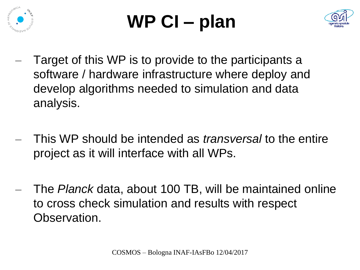

# **WP CI – plan**



- Target of this WP is to provide to the participants a software / hardware infrastructure where deploy and develop algorithms needed to simulation and data analysis.
- This WP should be intended as *transversal* to the entire project as it will interface with all WPs.
- The *Planck* data, about 100 TB, will be maintained online to cross check simulation and results with respect Observation.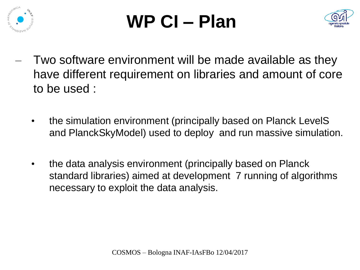

## **WP CI – Plan**



- Two software environment will be made available as they have different requirement on libraries and amount of core to be used :
	- the simulation environment (principally based on Planck LevelS and PlanckSkyModel) used to deploy and run massive simulation.
	- the data analysis environment (principally based on Planck standard libraries) aimed at development 7 running of algorithms necessary to exploit the data analysis.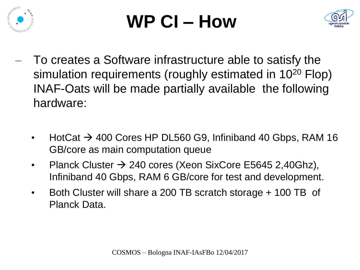

## **WP CI – How**



- To creates a Software infrastructure able to satisfy the simulation requirements (roughly estimated in 10<sup>20</sup> Flop) INAF-Oats will be made partially available the following hardware:
	- HotCat  $\rightarrow$  400 Cores HP DL560 G9, Infiniband 40 Gbps, RAM 16 GB/core as main computation queue
	- Planck Cluster  $\rightarrow$  240 cores (Xeon SixCore E5645 2,40Ghz), Infiniband 40 Gbps, RAM 6 GB/core for test and development.
	- Both Cluster will share a 200 TB scratch storage + 100 TB of Planck Data.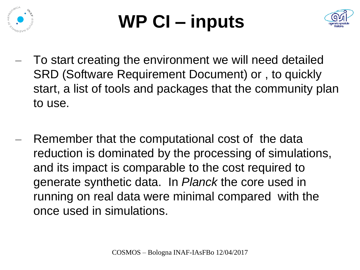

## **WP CI – inputs**



- To start creating the environment we will need detailed SRD (Software Requirement Document) or , to quickly start, a list of tools and packages that the community plan to use.
- Remember that the computational cost of the data reduction is dominated by the processing of simulations, and its impact is comparable to the cost required to generate synthetic data. In *Planck* the core used in running on real data were minimal compared with the once used in simulations.